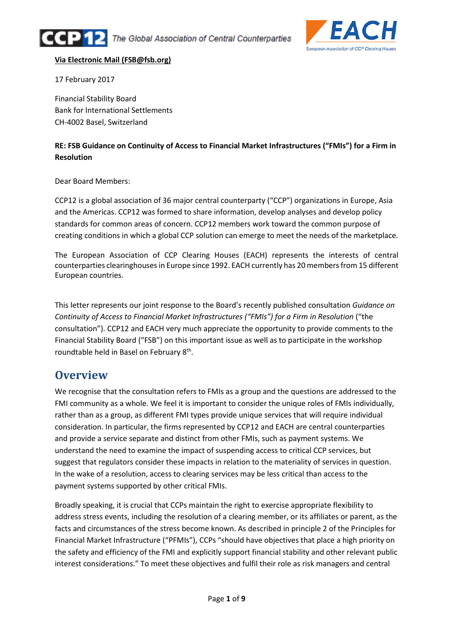



#### Via Electronic Mail (FSB@fsb.org)

17 February 2017

Financial Stability Board Bank for International Settlements CH-4002 Basel, Switzerland

#### RE: FSB Guidance on Continuity of Access to Financial Market Infrastructures ("FMIs") for a Firm in Resolution

Dear Board Members:

CCP12 is a global association of 36 major central counterparty ("CCP") organizations in Europe, Asia and the Americas. CCP12 was formed to share information, develop analyses and develop policy standards for common areas of concern. CCP12 members work toward the common purpose of creating conditions in which a global CCP solution can emerge to meet the needs of the marketplace.

The European Association of CCP Clearing Houses (EACH) represents the interests of central counterparties clearinghouses in Europe since 1992. EACH currently has 20 members from 15 different European countries.

This letter represents our joint response to the Board's recently published consultation Guidance on Continuity of Access to Financial Market Infrastructures ("FMIs") for a Firm in Resolution ("the consultation"). CCP12 and EACH very much appreciate the opportunity to provide comments to the Financial Stability Board ("FSB") on this important issue as well as to participate in the workshop roundtable held in Basel on February 8<sup>th</sup>.

### **Overview**

We recognise that the consultation refers to FMIs as a group and the questions are addressed to the FMI community as a whole. We feel it is important to consider the unique roles of FMIs individually, rather than as a group, as different FMI types provide unique services that will require individual consideration. In particular, the firms represented by CCP12 and EACH are central counterparties and provide a service separate and distinct from other FMIs, such as payment systems. We understand the need to examine the impact of suspending access to critical CCP services, but suggest that regulators consider these impacts in relation to the materiality of services in question. In the wake of a resolution, access to clearing services may be less critical than access to the payment systems supported by other critical FMIs.

Broadly speaking, it is crucial that CCPs maintain the right to exercise appropriate flexibility to address stress events, including the resolution of a clearing member, or its affiliates or parent, as the facts and circumstances of the stress become known. As described in principle 2 of the Principles for Financial Market Infrastructure ("PFMIs"), CCPs "should have objectives that place a high priority on the safety and efficiency of the FMI and explicitly support financial stability and other relevant public interest considerations." To meet these objectives and fulfil their role as risk managers and central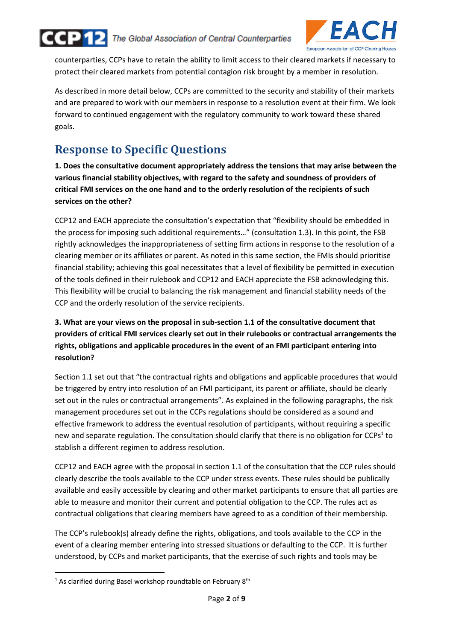

The Global Association of Central Counterparties



counterparties, CCPs have to retain the ability to limit access to their cleared markets if necessary to protect their cleared markets from potential contagion risk brought by a member in resolution.

As described in more detail below, CCPs are committed to the security and stability of their markets and are prepared to work with our members in response to a resolution event at their firm. We look forward to continued engagement with the regulatory community to work toward these shared goals.

## Response to Specific Questions

1. Does the consultative document appropriately address the tensions that may arise between the various financial stability objectives, with regard to the safety and soundness of providers of critical FMI services on the one hand and to the orderly resolution of the recipients of such services on the other?

CCP12 and EACH appreciate the consultation's expectation that "flexibility should be embedded in the process for imposing such additional requirements…" (consultation 1.3). In this point, the FSB rightly acknowledges the inappropriateness of setting firm actions in response to the resolution of a clearing member or its affiliates or parent. As noted in this same section, the FMIs should prioritise financial stability; achieving this goal necessitates that a level of flexibility be permitted in execution of the tools defined in their rulebook and CCP12 and EACH appreciate the FSB acknowledging this. This flexibility will be crucial to balancing the risk management and financial stability needs of the CCP and the orderly resolution of the service recipients.

#### 3. What are your views on the proposal in sub-section 1.1 of the consultative document that providers of critical FMI services clearly set out in their rulebooks or contractual arrangements the rights, obligations and applicable procedures in the event of an FMI participant entering into resolution?

Section 1.1 set out that "the contractual rights and obligations and applicable procedures that would be triggered by entry into resolution of an FMI participant, its parent or affiliate, should be clearly set out in the rules or contractual arrangements". As explained in the following paragraphs, the risk management procedures set out in the CCPs regulations should be considered as a sound and effective framework to address the eventual resolution of participants, without requiring a specific new and separate regulation. The consultation should clarify that there is no obligation for CCPs<sup>1</sup> to stablish a different regimen to address resolution.

CCP12 and EACH agree with the proposal in section 1.1 of the consultation that the CCP rules should clearly describe the tools available to the CCP under stress events. These rules should be publically available and easily accessible by clearing and other market participants to ensure that all parties are able to measure and monitor their current and potential obligation to the CCP. The rules act as contractual obligations that clearing members have agreed to as a condition of their membership.

The CCP's rulebook(s) already define the rights, obligations, and tools available to the CCP in the event of a clearing member entering into stressed situations or defaulting to the CCP. It is further understood, by CCPs and market participants, that the exercise of such rights and tools may be

 $\overline{a}$ 

<sup>&</sup>lt;sup>1</sup> As clarified during Basel workshop roundtable on February  $8<sup>th</sup>$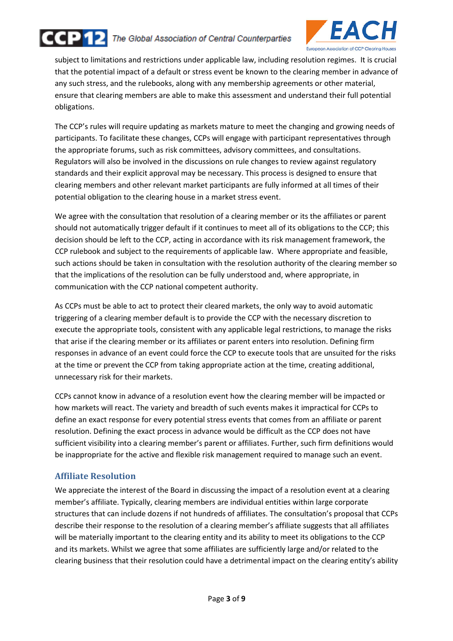



subject to limitations and restrictions under applicable law, including resolution regimes. It is crucial that the potential impact of a default or stress event be known to the clearing member in advance of any such stress, and the rulebooks, along with any membership agreements or other material, ensure that clearing members are able to make this assessment and understand their full potential obligations.

The CCP's rules will require updating as markets mature to meet the changing and growing needs of participants. To facilitate these changes, CCPs will engage with participant representatives through the appropriate forums, such as risk committees, advisory committees, and consultations. Regulators will also be involved in the discussions on rule changes to review against regulatory standards and their explicit approval may be necessary. This process is designed to ensure that clearing members and other relevant market participants are fully informed at all times of their potential obligation to the clearing house in a market stress event.

We agree with the consultation that resolution of a clearing member or its the affiliates or parent should not automatically trigger default if it continues to meet all of its obligations to the CCP; this decision should be left to the CCP, acting in accordance with its risk management framework, the CCP rulebook and subject to the requirements of applicable law. Where appropriate and feasible, such actions should be taken in consultation with the resolution authority of the clearing member so that the implications of the resolution can be fully understood and, where appropriate, in communication with the CCP national competent authority.

As CCPs must be able to act to protect their cleared markets, the only way to avoid automatic triggering of a clearing member default is to provide the CCP with the necessary discretion to execute the appropriate tools, consistent with any applicable legal restrictions, to manage the risks that arise if the clearing member or its affiliates or parent enters into resolution. Defining firm responses in advance of an event could force the CCP to execute tools that are unsuited for the risks at the time or prevent the CCP from taking appropriate action at the time, creating additional, unnecessary risk for their markets.

CCPs cannot know in advance of a resolution event how the clearing member will be impacted or how markets will react. The variety and breadth of such events makes it impractical for CCPs to define an exact response for every potential stress events that comes from an affiliate or parent resolution. Defining the exact process in advance would be difficult as the CCP does not have sufficient visibility into a clearing member's parent or affiliates. Further, such firm definitions would be inappropriate for the active and flexible risk management required to manage such an event.

#### Affiliate Resolution

We appreciate the interest of the Board in discussing the impact of a resolution event at a clearing member's affiliate. Typically, clearing members are individual entities within large corporate structures that can include dozens if not hundreds of affiliates. The consultation's proposal that CCPs describe their response to the resolution of a clearing member's affiliate suggests that all affiliates will be materially important to the clearing entity and its ability to meet its obligations to the CCP and its markets. Whilst we agree that some affiliates are sufficiently large and/or related to the clearing business that their resolution could have a detrimental impact on the clearing entity's ability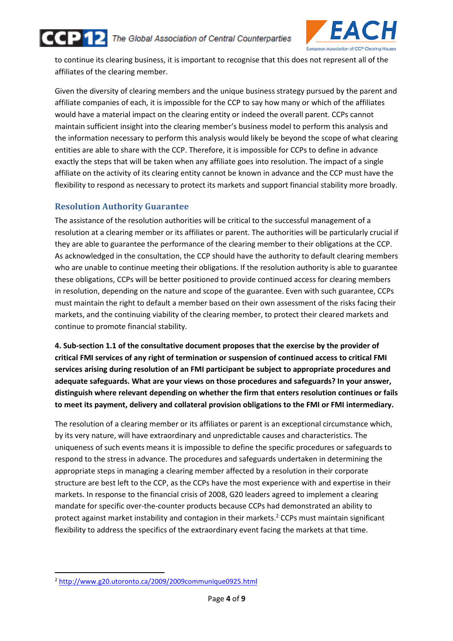



to continue its clearing business, it is important to recognise that this does not represent all of the affiliates of the clearing member.

Given the diversity of clearing members and the unique business strategy pursued by the parent and affiliate companies of each, it is impossible for the CCP to say how many or which of the affiliates would have a material impact on the clearing entity or indeed the overall parent. CCPs cannot maintain sufficient insight into the clearing member's business model to perform this analysis and the information necessary to perform this analysis would likely be beyond the scope of what clearing entities are able to share with the CCP. Therefore, it is impossible for CCPs to define in advance exactly the steps that will be taken when any affiliate goes into resolution. The impact of a single affiliate on the activity of its clearing entity cannot be known in advance and the CCP must have the flexibility to respond as necessary to protect its markets and support financial stability more broadly.

#### Resolution Authority Guarantee

The assistance of the resolution authorities will be critical to the successful management of a resolution at a clearing member or its affiliates or parent. The authorities will be particularly crucial if they are able to guarantee the performance of the clearing member to their obligations at the CCP. As acknowledged in the consultation, the CCP should have the authority to default clearing members who are unable to continue meeting their obligations. If the resolution authority is able to guarantee these obligations, CCPs will be better positioned to provide continued access for clearing members in resolution, depending on the nature and scope of the guarantee. Even with such guarantee, CCPs must maintain the right to default a member based on their own assessment of the risks facing their markets, and the continuing viability of the clearing member, to protect their cleared markets and continue to promote financial stability.

4. Sub-section 1.1 of the consultative document proposes that the exercise by the provider of critical FMI services of any right of termination or suspension of continued access to critical FMI services arising during resolution of an FMI participant be subject to appropriate procedures and adequate safeguards. What are your views on those procedures and safeguards? In your answer, distinguish where relevant depending on whether the firm that enters resolution continues or fails to meet its payment, delivery and collateral provision obligations to the FMI or FMI intermediary.

The resolution of a clearing member or its affiliates or parent is an exceptional circumstance which, by its very nature, will have extraordinary and unpredictable causes and characteristics. The uniqueness of such events means it is impossible to define the specific procedures or safeguards to respond to the stress in advance. The procedures and safeguards undertaken in determining the appropriate steps in managing a clearing member affected by a resolution in their corporate structure are best left to the CCP, as the CCPs have the most experience with and expertise in their markets. In response to the financial crisis of 2008, G20 leaders agreed to implement a clearing mandate for specific over-the-counter products because CCPs had demonstrated an ability to protect against market instability and contagion in their markets.<sup>2</sup> CCPs must maintain significant flexibility to address the specifics of the extraordinary event facing the markets at that time.

 $\overline{a}$ 

<sup>2</sup> http://www.g20.utoronto.ca/2009/2009communique0925.html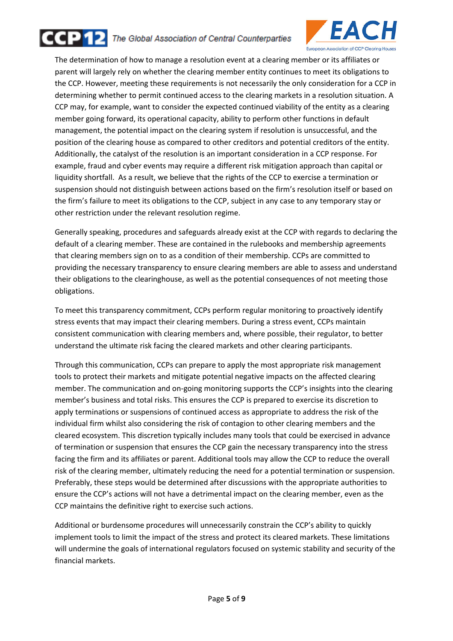

The Global Association of Central Counterparties



The determination of how to manage a resolution event at a clearing member or its affiliates or parent will largely rely on whether the clearing member entity continues to meet its obligations to the CCP. However, meeting these requirements is not necessarily the only consideration for a CCP in determining whether to permit continued access to the clearing markets in a resolution situation. A CCP may, for example, want to consider the expected continued viability of the entity as a clearing member going forward, its operational capacity, ability to perform other functions in default management, the potential impact on the clearing system if resolution is unsuccessful, and the position of the clearing house as compared to other creditors and potential creditors of the entity. Additionally, the catalyst of the resolution is an important consideration in a CCP response. For example, fraud and cyber events may require a different risk mitigation approach than capital or liquidity shortfall. As a result, we believe that the rights of the CCP to exercise a termination or suspension should not distinguish between actions based on the firm's resolution itself or based on the firm's failure to meet its obligations to the CCP, subject in any case to any temporary stay or other restriction under the relevant resolution regime.

Generally speaking, procedures and safeguards already exist at the CCP with regards to declaring the default of a clearing member. These are contained in the rulebooks and membership agreements that clearing members sign on to as a condition of their membership. CCPs are committed to providing the necessary transparency to ensure clearing members are able to assess and understand their obligations to the clearinghouse, as well as the potential consequences of not meeting those obligations.

To meet this transparency commitment, CCPs perform regular monitoring to proactively identify stress events that may impact their clearing members. During a stress event, CCPs maintain consistent communication with clearing members and, where possible, their regulator, to better understand the ultimate risk facing the cleared markets and other clearing participants.

Through this communication, CCPs can prepare to apply the most appropriate risk management tools to protect their markets and mitigate potential negative impacts on the affected clearing member. The communication and on-going monitoring supports the CCP's insights into the clearing member's business and total risks. This ensures the CCP is prepared to exercise its discretion to apply terminations or suspensions of continued access as appropriate to address the risk of the individual firm whilst also considering the risk of contagion to other clearing members and the cleared ecosystem. This discretion typically includes many tools that could be exercised in advance of termination or suspension that ensures the CCP gain the necessary transparency into the stress facing the firm and its affiliates or parent. Additional tools may allow the CCP to reduce the overall risk of the clearing member, ultimately reducing the need for a potential termination or suspension. Preferably, these steps would be determined after discussions with the appropriate authorities to ensure the CCP's actions will not have a detrimental impact on the clearing member, even as the CCP maintains the definitive right to exercise such actions.

Additional or burdensome procedures will unnecessarily constrain the CCP's ability to quickly implement tools to limit the impact of the stress and protect its cleared markets. These limitations will undermine the goals of international regulators focused on systemic stability and security of the financial markets.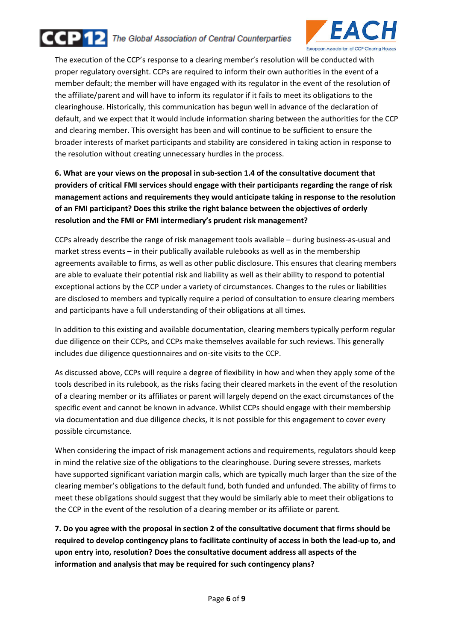



The execution of the CCP's response to a clearing member's resolution will be conducted with proper regulatory oversight. CCPs are required to inform their own authorities in the event of a member default; the member will have engaged with its regulator in the event of the resolution of the affiliate/parent and will have to inform its regulator if it fails to meet its obligations to the clearinghouse. Historically, this communication has begun well in advance of the declaration of default, and we expect that it would include information sharing between the authorities for the CCP and clearing member. This oversight has been and will continue to be sufficient to ensure the broader interests of market participants and stability are considered in taking action in response to the resolution without creating unnecessary hurdles in the process.

6. What are your views on the proposal in sub-section 1.4 of the consultative document that providers of critical FMI services should engage with their participants regarding the range of risk management actions and requirements they would anticipate taking in response to the resolution of an FMI participant? Does this strike the right balance between the objectives of orderly resolution and the FMI or FMI intermediary's prudent risk management?

CCPs already describe the range of risk management tools available – during business-as-usual and market stress events – in their publically available rulebooks as well as in the membership agreements available to firms, as well as other public disclosure. This ensures that clearing members are able to evaluate their potential risk and liability as well as their ability to respond to potential exceptional actions by the CCP under a variety of circumstances. Changes to the rules or liabilities are disclosed to members and typically require a period of consultation to ensure clearing members and participants have a full understanding of their obligations at all times.

In addition to this existing and available documentation, clearing members typically perform regular due diligence on their CCPs, and CCPs make themselves available for such reviews. This generally includes due diligence questionnaires and on-site visits to the CCP.

As discussed above, CCPs will require a degree of flexibility in how and when they apply some of the tools described in its rulebook, as the risks facing their cleared markets in the event of the resolution of a clearing member or its affiliates or parent will largely depend on the exact circumstances of the specific event and cannot be known in advance. Whilst CCPs should engage with their membership via documentation and due diligence checks, it is not possible for this engagement to cover every possible circumstance.

When considering the impact of risk management actions and requirements, regulators should keep in mind the relative size of the obligations to the clearinghouse. During severe stresses, markets have supported significant variation margin calls, which are typically much larger than the size of the clearing member's obligations to the default fund, both funded and unfunded. The ability of firms to meet these obligations should suggest that they would be similarly able to meet their obligations to the CCP in the event of the resolution of a clearing member or its affiliate or parent.

7. Do you agree with the proposal in section 2 of the consultative document that firms should be required to develop contingency plans to facilitate continuity of access in both the lead-up to, and upon entry into, resolution? Does the consultative document address all aspects of the information and analysis that may be required for such contingency plans?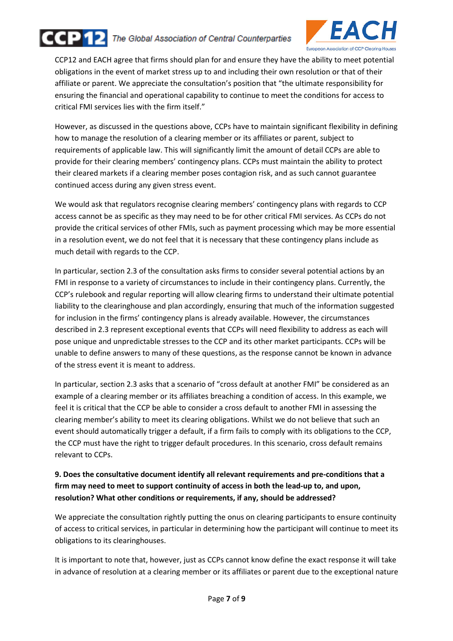# ccP 12

#### The Global Association of Central Counterparties



CCP12 and EACH agree that firms should plan for and ensure they have the ability to meet potential obligations in the event of market stress up to and including their own resolution or that of their affiliate or parent. We appreciate the consultation's position that "the ultimate responsibility for ensuring the financial and operational capability to continue to meet the conditions for access to critical FMI services lies with the firm itself."

However, as discussed in the questions above, CCPs have to maintain significant flexibility in defining how to manage the resolution of a clearing member or its affiliates or parent, subject to requirements of applicable law. This will significantly limit the amount of detail CCPs are able to provide for their clearing members' contingency plans. CCPs must maintain the ability to protect their cleared markets if a clearing member poses contagion risk, and as such cannot guarantee continued access during any given stress event.

We would ask that regulators recognise clearing members' contingency plans with regards to CCP access cannot be as specific as they may need to be for other critical FMI services. As CCPs do not provide the critical services of other FMIs, such as payment processing which may be more essential in a resolution event, we do not feel that it is necessary that these contingency plans include as much detail with regards to the CCP.

In particular, section 2.3 of the consultation asks firms to consider several potential actions by an FMI in response to a variety of circumstances to include in their contingency plans. Currently, the CCP's rulebook and regular reporting will allow clearing firms to understand their ultimate potential liability to the clearinghouse and plan accordingly, ensuring that much of the information suggested for inclusion in the firms' contingency plans is already available. However, the circumstances described in 2.3 represent exceptional events that CCPs will need flexibility to address as each will pose unique and unpredictable stresses to the CCP and its other market participants. CCPs will be unable to define answers to many of these questions, as the response cannot be known in advance of the stress event it is meant to address.

In particular, section 2.3 asks that a scenario of "cross default at another FMI" be considered as an example of a clearing member or its affiliates breaching a condition of access. In this example, we feel it is critical that the CCP be able to consider a cross default to another FMI in assessing the clearing member's ability to meet its clearing obligations. Whilst we do not believe that such an event should automatically trigger a default, if a firm fails to comply with its obligations to the CCP, the CCP must have the right to trigger default procedures. In this scenario, cross default remains relevant to CCPs.

#### 9. Does the consultative document identify all relevant requirements and pre-conditions that a firm may need to meet to support continuity of access in both the lead-up to, and upon, resolution? What other conditions or requirements, if any, should be addressed?

We appreciate the consultation rightly putting the onus on clearing participants to ensure continuity of access to critical services, in particular in determining how the participant will continue to meet its obligations to its clearinghouses.

It is important to note that, however, just as CCPs cannot know define the exact response it will take in advance of resolution at a clearing member or its affiliates or parent due to the exceptional nature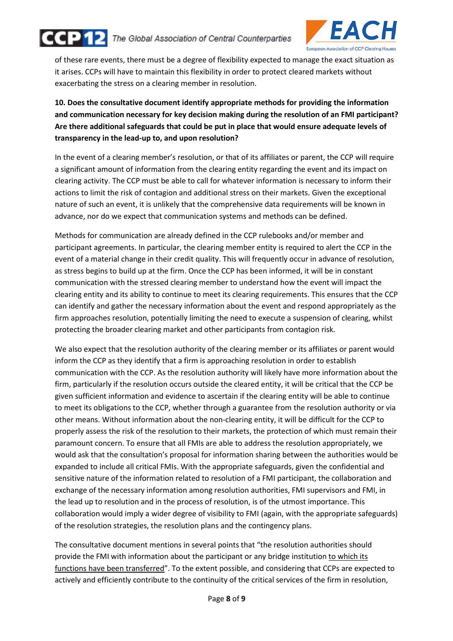



of these rare events, there must be a degree of flexibility expected to manage the exact situation as it arises. CCPs will have to maintain this flexibility in order to protect cleared markets without exacerbating the stress on a clearing member in resolution.

#### 10. Does the consultative document identify appropriate methods for providing the information and communication necessary for key decision making during the resolution of an FMI participant? Are there additional safeguards that could be put in place that would ensure adequate levels of transparency in the lead-up to, and upon resolution?

In the event of a clearing member's resolution, or that of its affiliates or parent, the CCP will require a significant amount of information from the clearing entity regarding the event and its impact on clearing activity. The CCP must be able to call for whatever information is necessary to inform their actions to limit the risk of contagion and additional stress on their markets. Given the exceptional nature of such an event, it is unlikely that the comprehensive data requirements will be known in advance, nor do we expect that communication systems and methods can be defined.

Methods for communication are already defined in the CCP rulebooks and/or member and participant agreements. In particular, the clearing member entity is required to alert the CCP in the event of a material change in their credit quality. This will frequently occur in advance of resolution, as stress begins to build up at the firm. Once the CCP has been informed, it will be in constant communication with the stressed clearing member to understand how the event will impact the clearing entity and its ability to continue to meet its clearing requirements. This ensures that the CCP can identify and gather the necessary information about the event and respond appropriately as the firm approaches resolution, potentially limiting the need to execute a suspension of clearing, whilst protecting the broader clearing market and other participants from contagion risk.

We also expect that the resolution authority of the clearing member or its affiliates or parent would inform the CCP as they identify that a firm is approaching resolution in order to establish communication with the CCP. As the resolution authority will likely have more information about the firm, particularly if the resolution occurs outside the cleared entity, it will be critical that the CCP be given sufficient information and evidence to ascertain if the clearing entity will be able to continue to meet its obligations to the CCP, whether through a guarantee from the resolution authority or via other means. Without information about the non-clearing entity, it will be difficult for the CCP to properly assess the risk of the resolution to their markets, the protection of which must remain their paramount concern. To ensure that all FMIs are able to address the resolution appropriately, we would ask that the consultation's proposal for information sharing between the authorities would be expanded to include all critical FMIs. With the appropriate safeguards, given the confidential and sensitive nature of the information related to resolution of a FMI participant, the collaboration and exchange of the necessary information among resolution authorities, FMI supervisors and FMI, in the lead up to resolution and in the process of resolution, is of the utmost importance. This collaboration would imply a wider degree of visibility to FMI (again, with the appropriate safeguards) of the resolution strategies, the resolution plans and the contingency plans.

The consultative document mentions in several points that "the resolution authorities should provide the FMI with information about the participant or any bridge institution to which its functions have been transferred". To the extent possible, and considering that CCPs are expected to actively and efficiently contribute to the continuity of the critical services of the firm in resolution,